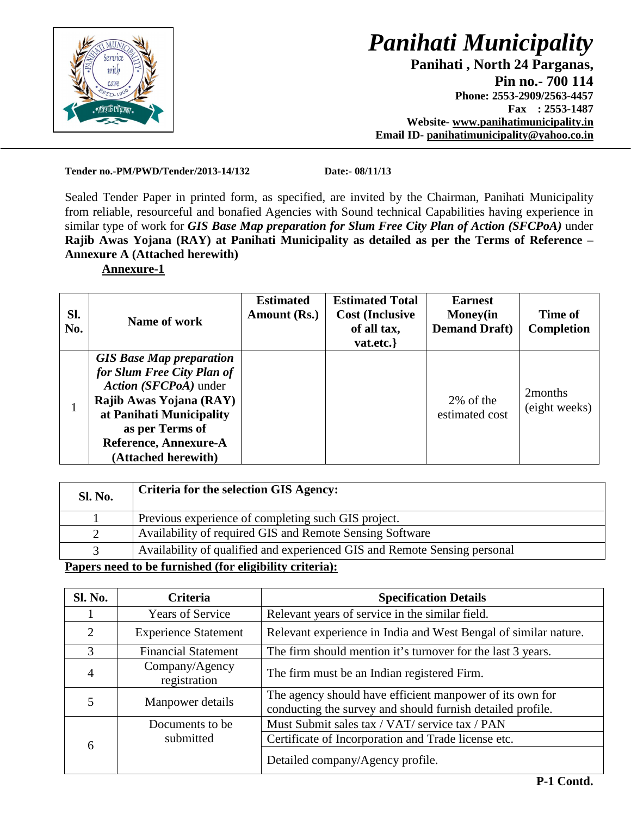

 **Panihati , North 24 Parganas,**   $\frac{1}{2}$  **Pin no.- 700 114 Phone: 2553-2909/2563-4457 Fax : 2553-1487 Website- www.panihatimunicipality.in Email ID- panihatimunicipality@yahoo.co.in**

**Tender no.-PM/PWD/Tender/2013-14/132 Date:- 08/11/13** 

Sealed Tender Paper in printed form, as specified, are invited by the Chairman, Panihati Municipality from reliable, resourceful and bonafied Agencies with Sound technical Capabilities having experience in similar type of work for *GIS Base Map preparation for Slum Free City Plan of Action (SFCPoA)* under **Rajib Awas Yojana (RAY) at Panihati Municipality as detailed as per the Terms of Reference – Annexure A (Attached herewith)**

#### **Annexure-1**

| SI.<br>No. | Name of work                                                                                                                                                                                                     | <b>Estimated</b><br>Amount (Rs.) | <b>Estimated Total</b><br><b>Cost (Inclusive)</b><br>of all tax,<br>vat.etc.} | <b>Earnest</b><br><b>Money</b> (in<br><b>Demand Draft</b> ) | Time of<br><b>Completion</b>         |
|------------|------------------------------------------------------------------------------------------------------------------------------------------------------------------------------------------------------------------|----------------------------------|-------------------------------------------------------------------------------|-------------------------------------------------------------|--------------------------------------|
|            | <b>GIS Base Map preparation</b><br>for Slum Free City Plan of<br>Action (SFCPoA) under<br>Rajib Awas Yojana (RAY)<br>at Panihati Municipality<br>as per Terms of<br>Reference, Annexure-A<br>(Attached herewith) |                                  |                                                                               | 2% of the<br>estimated cost                                 | 2 <sub>months</sub><br>(eight weeks) |

| <b>Sl. No.</b> | <b>Criteria for the selection GIS Agency:</b>                             |  |
|----------------|---------------------------------------------------------------------------|--|
|                | Previous experience of completing such GIS project.                       |  |
|                | Availability of required GIS and Remote Sensing Software                  |  |
|                | Availability of qualified and experienced GIS and Remote Sensing personal |  |
| $\blacksquare$ |                                                                           |  |

#### **Papers need to be furnished (for eligibility criteria):**

| Sl. No.        | <b>Criteria</b>                | <b>Specification Details</b>                                                                                           |  |
|----------------|--------------------------------|------------------------------------------------------------------------------------------------------------------------|--|
|                | <b>Years of Service</b>        | Relevant years of service in the similar field.                                                                        |  |
| 2              | <b>Experience Statement</b>    | Relevant experience in India and West Bengal of similar nature.                                                        |  |
| 3              | <b>Financial Statement</b>     | The firm should mention it's turnover for the last 3 years.                                                            |  |
| $\overline{4}$ | Company/Agency<br>registration | The firm must be an Indian registered Firm.                                                                            |  |
|                | Manpower details               | The agency should have efficient manpower of its own for<br>conducting the survey and should furnish detailed profile. |  |
|                | Documents to be.               | Must Submit sales tax / VAT/ service tax / PAN                                                                         |  |
| 6              | submitted                      | Certificate of Incorporation and Trade license etc.                                                                    |  |
|                |                                | Detailed company/Agency profile.                                                                                       |  |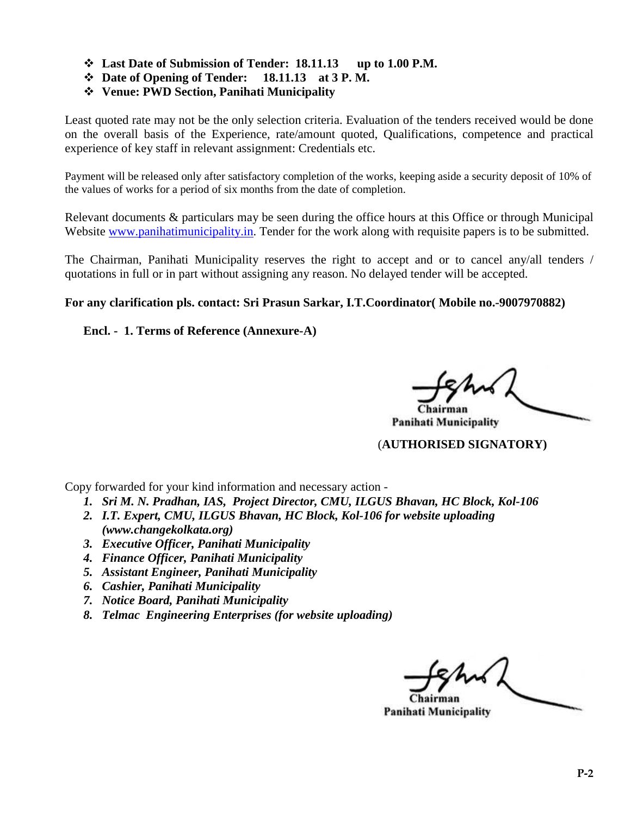- **Last Date of Submission of Tender: 18.11.13 up to 1.00 P.M.**
- **Date of Opening of Tender: 18.11.13 at 3 P. M.**
- **Venue: PWD Section, Panihati Municipality**

Least quoted rate may not be the only selection criteria. Evaluation of the tenders received would be done on the overall basis of the Experience, rate/amount quoted, Qualifications, competence and practical experience of key staff in relevant assignment: Credentials etc.

Payment will be released only after satisfactory completion of the works, keeping aside a security deposit of 10% of the values of works for a period of six months from the date of completion.

Relevant documents & particulars may be seen during the office hours at this Office or through Municipal Website www.panihatimunicipality.in. Tender for the work along with requisite papers is to be submitted.

The Chairman, Panihati Municipality reserves the right to accept and or to cancel any/all tenders / quotations in full or in part without assigning any reason. No delayed tender will be accepted.

#### **For any clarification pls. contact: Sri Prasun Sarkar, I.T.Coordinator( Mobile no.-9007970882)**

#### **Encl. - 1. Terms of Reference (Annexure-A)**

Chairmaí

**Panihati Municipality** 

#### (**AUTHORISED SIGNATORY)**

Copy forwarded for your kind information and necessary action -

- *1. Sri M. N. Pradhan, IAS, Project Director, CMU, ILGUS Bhavan, HC Block, Kol-106*
- *2. I.T. Expert, CMU, ILGUS Bhavan, HC Block, Kol-106 for website uploading (www.changekolkata.org)*
- *3. Executive Officer, Panihati Municipality*
- *4. Finance Officer, Panihati Municipality*
- *5. Assistant Engineer, Panihati Municipality*
- *6. Cashier, Panihati Municipality*
- *7. Notice Board, Panihati Municipality*
- *8. Telmac Engineering Enterprises (for website uploading)*

**Panihati Municipality**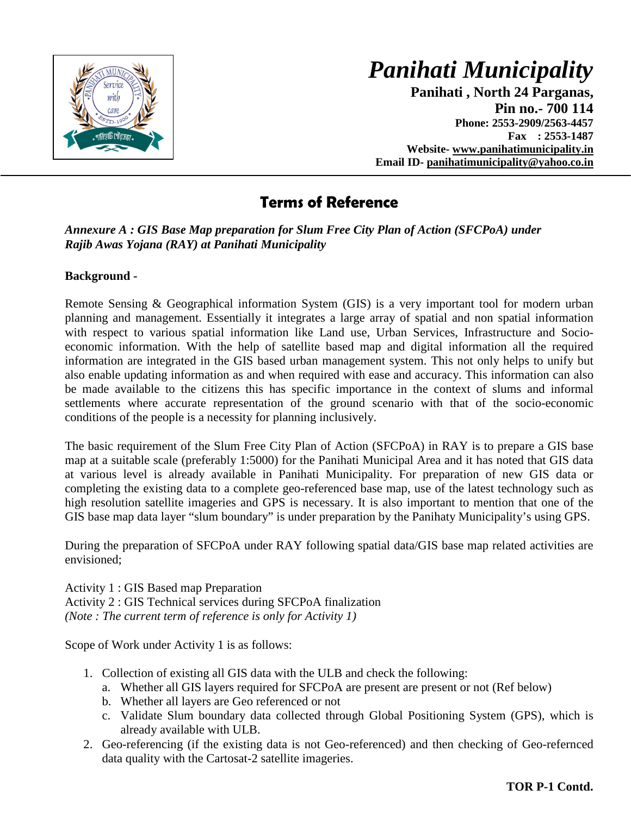

 **Panihati , North 24 Parganas, Pin no.- 700 114 Phone: 2553-2909/2563-4457 Fax : 2553-1487 Website- www.panihatimunicipality.in Email ID- panihatimunicipality@yahoo.co.in**

## **Terms of Reference**

#### *Annexure A : GIS Base Map preparation for Slum Free City Plan of Action (SFCPoA) under Rajib Awas Yojana (RAY) at Panihati Municipality*

### **Background -**

Remote Sensing & Geographical information System (GIS) is a very important tool for modern urban planning and management. Essentially it integrates a large array of spatial and non spatial information with respect to various spatial information like Land use, Urban Services, Infrastructure and Socioeconomic information. With the help of satellite based map and digital information all the required information are integrated in the GIS based urban management system. This not only helps to unify but also enable updating information as and when required with ease and accuracy. This information can also be made available to the citizens this has specific importance in the context of slums and informal settlements where accurate representation of the ground scenario with that of the socio-economic conditions of the people is a necessity for planning inclusively.

The basic requirement of the Slum Free City Plan of Action (SFCPoA) in RAY is to prepare a GIS base map at a suitable scale (preferably 1:5000) for the Panihati Municipal Area and it has noted that GIS data at various level is already available in Panihati Municipality. For preparation of new GIS data or completing the existing data to a complete geo-referenced base map, use of the latest technology such as high resolution satellite imageries and GPS is necessary. It is also important to mention that one of the GIS base map data layer "slum boundary" is under preparation by the Panihaty Municipality's using GPS.

During the preparation of SFCPoA under RAY following spatial data/GIS base map related activities are envisioned;

Activity 1 : GIS Based map Preparation Activity 2 : GIS Technical services during SFCPoA finalization *(Note : The current term of reference is only for Activity 1)* 

Scope of Work under Activity 1 is as follows:

- 1. Collection of existing all GIS data with the ULB and check the following:
	- a. Whether all GIS layers required for SFCPoA are present are present or not (Ref below)
	- b. Whether all layers are Geo referenced or not
	- c. Validate Slum boundary data collected through Global Positioning System (GPS), which is already available with ULB.
- 2. Geo-referencing (if the existing data is not Geo-referenced) and then checking of Geo-refernced data quality with the Cartosat-2 satellite imageries.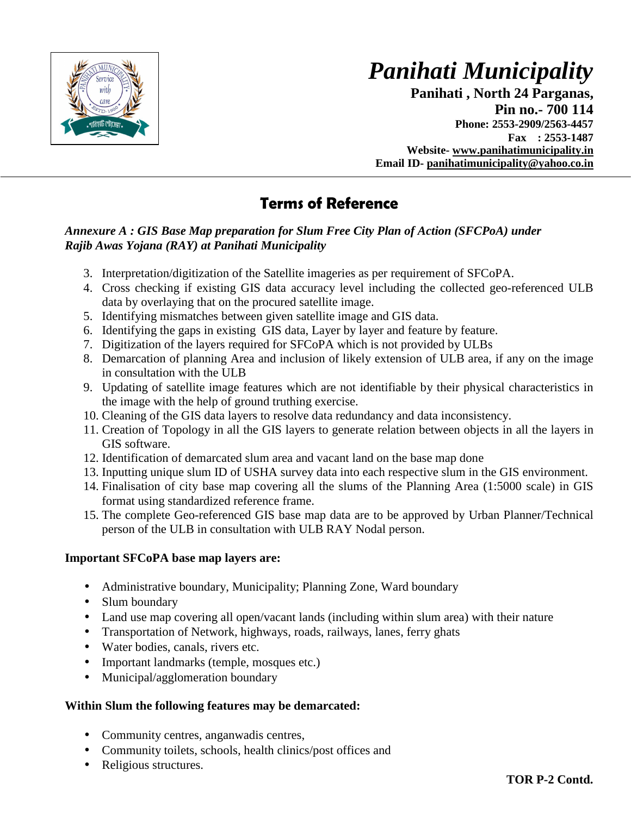

 **Panihati , North 24 Parganas, Pin no.- 700 114 Phone: 2553-2909/2563-4457 Fax : 2553-1487 Website- www.panihatimunicipality.in Email ID- panihatimunicipality@yahoo.co.in**

## **Terms of Reference**

#### *Annexure A : GIS Base Map preparation for Slum Free City Plan of Action (SFCPoA) under Rajib Awas Yojana (RAY) at Panihati Municipality*

- 3. Interpretation/digitization of the Satellite imageries as per requirement of SFCoPA.
- 4. Cross checking if existing GIS data accuracy level including the collected geo-referenced ULB data by overlaying that on the procured satellite image.
- 5. Identifying mismatches between given satellite image and GIS data.
- 6. Identifying the gaps in existing GIS data, Layer by layer and feature by feature.
- 7. Digitization of the layers required for SFCoPA which is not provided by ULBs
- 8. Demarcation of planning Area and inclusion of likely extension of ULB area, if any on the image in consultation with the ULB
- 9. Updating of satellite image features which are not identifiable by their physical characteristics in the image with the help of ground truthing exercise.
- 10. Cleaning of the GIS data layers to resolve data redundancy and data inconsistency.
- 11. Creation of Topology in all the GIS layers to generate relation between objects in all the layers in GIS software.
- 12. Identification of demarcated slum area and vacant land on the base map done
- 13. Inputting unique slum ID of USHA survey data into each respective slum in the GIS environment.
- 14. Finalisation of city base map covering all the slums of the Planning Area (1:5000 scale) in GIS format using standardized reference frame.
- 15. The complete Geo-referenced GIS base map data are to be approved by Urban Planner/Technical person of the ULB in consultation with ULB RAY Nodal person.

#### **Important SFCoPA base map layers are:**

- Administrative boundary, Municipality; Planning Zone, Ward boundary
- Slum boundary
- Land use map covering all open/vacant lands (including within slum area) with their nature
- Transportation of Network, highways, roads, railways, lanes, ferry ghats
- Water bodies, canals, rivers etc.
- Important landmarks (temple, mosques etc.)
- Municipal/agglomeration boundary

### **Within Slum the following features may be demarcated:**

- Community centres, anganwadis centres,
- Community toilets, schools, health clinics/post offices and
- Religious structures.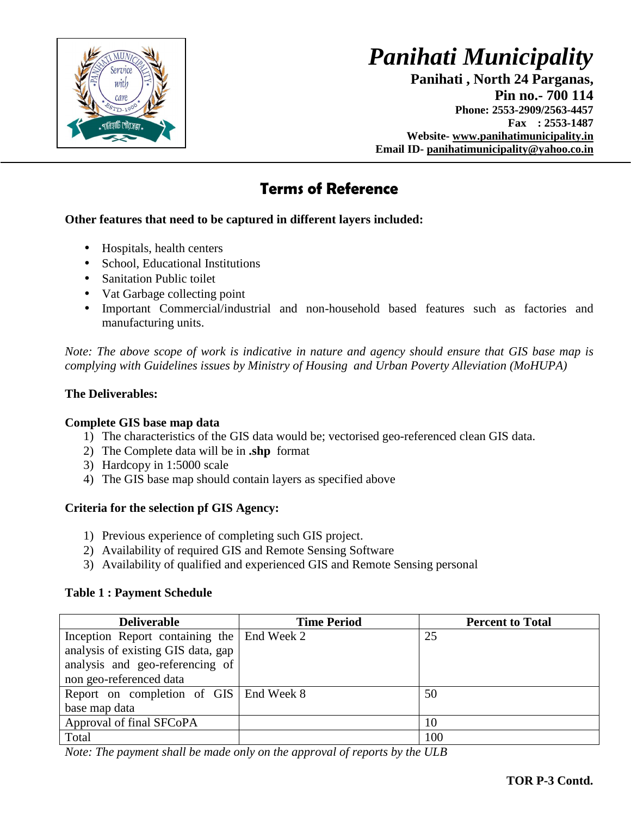

 **Panihati , North 24 Parganas, Pin no.- 700 114 Phone: 2553-2909/2563-4457 Fax : 2553-1487 Website- www.panihatimunicipality.in Email ID- panihatimunicipality@yahoo.co.in**

## **Terms of Reference**

### **Other features that need to be captured in different layers included:**

- Hospitals, health centers
- School, Educational Institutions
- Sanitation Public toilet
- Vat Garbage collecting point
- Important Commercial/industrial and non-household based features such as factories and manufacturing units.

*Note: The above scope of work is indicative in nature and agency should ensure that GIS base map is complying with Guidelines issues by Ministry of Housing and Urban Poverty Alleviation (MoHUPA)* 

### **The Deliverables:**

#### **Complete GIS base map data**

- 1) The characteristics of the GIS data would be; vectorised geo-referenced clean GIS data.
- 2) The Complete data will be in **.shp** format
- 3) Hardcopy in 1:5000 scale
- 4) The GIS base map should contain layers as specified above

#### **Criteria for the selection pf GIS Agency:**

- 1) Previous experience of completing such GIS project.
- 2) Availability of required GIS and Remote Sensing Software
- 3) Availability of qualified and experienced GIS and Remote Sensing personal

#### **Table 1 : Payment Schedule**

| <b>Deliverable</b>                           | <b>Time Period</b> | <b>Percent to Total</b> |
|----------------------------------------------|--------------------|-------------------------|
| Inception Report containing the   End Week 2 |                    | 25                      |
| analysis of existing GIS data, gap           |                    |                         |
| analysis and geo-referencing of              |                    |                         |
| non geo-referenced data                      |                    |                         |
| Report on completion of GIS   End Week 8     |                    | 50                      |
| base map data                                |                    |                         |
| Approval of final SFCoPA                     |                    | 10                      |
| Total                                        |                    | 100                     |

*Note: The payment shall be made only on the approval of reports by the ULB*